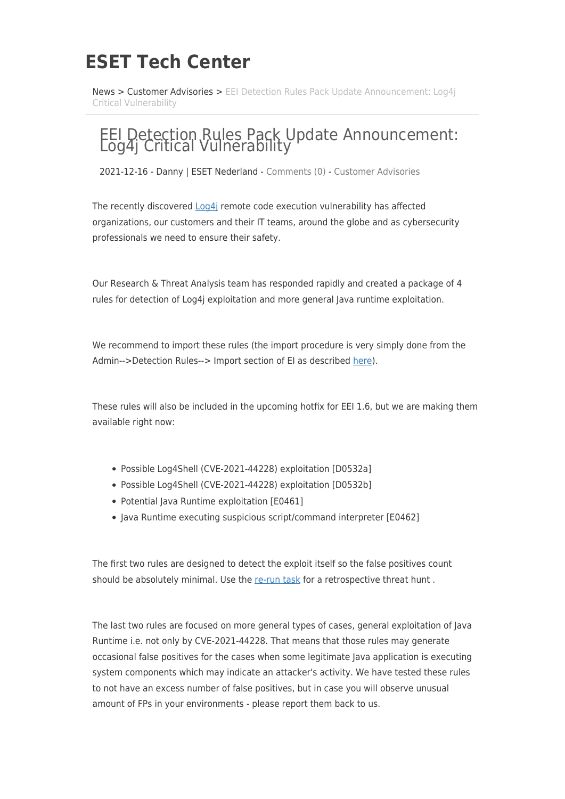## **ESET Tech Center**

[News](https://techcenter.eset.nl/en/news) > [Customer Advisories](https://techcenter.eset.nl/en/news/customer-advisories) > EEI Detection Rules Pack Update Announcement: Log4i [Critical Vulnerability](https://techcenter.eset.nl/en/news/posts/eei-detection-rules-pack-update-announcement-log4j-critical-vulnerability)

## EEI Detection Rules Pack Update Announcement: Log4j Critical Vulnerability

2021-12-16 - Danny | ESET Nederland - [Comments \(0\)](#page--1-0) - [Customer Advisories](https://techcenter.eset.nl/en/news/customer-advisories)

The recently discovered [Log4j](https://logging.apache.org/log4j/2.x/security.html) remote code execution vulnerability has affected organizations, our customers and their IT teams, around the globe and as cybersecurity professionals we need to ensure their safety.

Our Research & Threat Analysis team has responded rapidly and created a package of 4 rules for detection of Log4j exploitation and more general Java runtime exploitation.

We recommend to import these rules (the import procedure is very simply done from the Admin-->Detection Rules--> Import section of EI as described [here](https://help.eset.com/eei/1.6/en-US/?rules.html)).

These rules will also be included in the upcoming hotfix for EEI 1.6, but we are making them available right now:

- Possible Log4Shell (CVE-2021-44228) exploitation [D0532a]
- Possible Log4Shell (CVE-2021-44228) exploitation [D0532b]
- Potential Java Runtime exploitation [E0461]
- Java Runtime executing suspicious script/command interpreter [E0462]

The first two rules are designed to detect the exploit itself so the false positives count should be absolutely minimal. Use the [re-run task](https://help.eset.com/eei/1.6/en-US/?rule_rerun_tasks.html) for a retrospective threat hunt .

The last two rules are focused on more general types of cases, general exploitation of Java Runtime i.e. not only by CVE-2021-44228. That means that those rules may generate occasional false positives for the cases when some legitimate Java application is executing system components which may indicate an attacker's activity. We have tested these rules to not have an excess number of false positives, but in case you will observe unusual amount of FPs in your environments - please report them back to us.